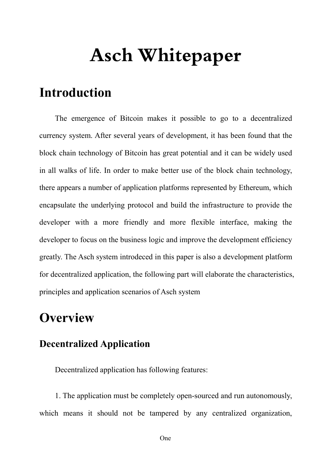# **Asch Whitepaper**

# **Introduction**

The emergence of Bitcoin makes it possible to go to a decentralized currency system. After several years of development, it has been found that the block chain technology of Bitcoin has great potential and it can be widely used in all walks of life. In order to make better use of the block chain technology, there appears a number of application platforms represented by Ethereum, which encapsulate the underlying protocol and build the infrastructure to provide the developer with a more friendly and more flexible interface, making the developer to focus on the business logic and improve the development efficiency greatly. The Asch system introdeced in this paper is also a development platform for decentralized application, the following part will elaborate the characteristics, principles and application scenarios of Asch system

# **Overview**

### **Decentralized Application**

Decentralized application has following features:

1. The application must be completely open-sourced and run autonomously, which means it should not be tampered by any centralized organization,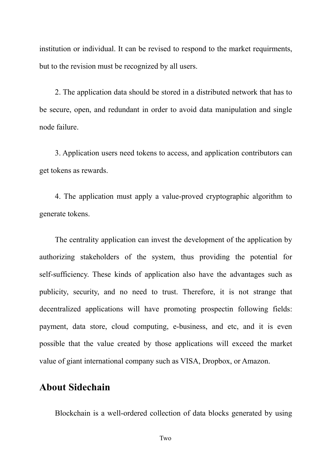institution or individual. It can be revised to respond to the market requirments, but to the revision must be recognized by all users.

2. The application data should be stored in a distributed network that has to be secure, open, and redundant in order to avoid data manipulation and single node failure.

3. Application users need tokens to access, and application contributors can get tokens as rewards.

4. The application must apply a value-proved cryptographic algorithm to generate tokens.

The centrality application can invest the development of the application by authorizing stakeholders of the system, thus providing the potential for self-sufficiency. These kinds of application also have the advantages such as publicity, security, and no need to trust. Therefore, it is not strange that decentralized applications will have promoting prospectin following fields: payment, data store, cloud computing, e-business, and etc, and it is even possible that the value created by those applications will exceed the market value of giant international company such as VISA, Dropbox, or Amazon.

#### **About Sidechain**

Blockchain is a well-ordered collection of data blocks generated by using

Two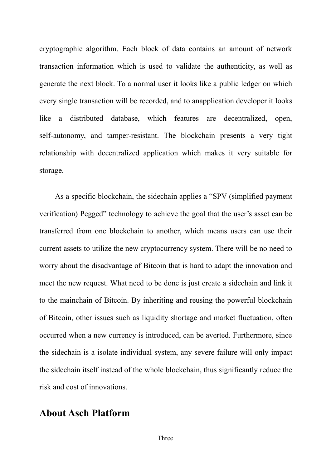cryptographic algorithm. Each block of data contains an amount of network transaction information which is used to validate the authenticity, as well as generate the next block. To a normaluser it looks like a public ledger on which every single transaction will be recorded, and to anapplication developer it looks like a distributed database, which features are decentralized, open, self-autonomy, and tamper-resistant. The blockchain presents a very tight relationship with decentralized application which makes it very suitable for storage.

As a specific blockchain, the sidechain applies a "SPV (simplified payment verification) Pegged" technology to achieve the goal that the user's asset can be transferred from one blockchain to another, which means users can use their current assets to utilize the new cryptocurrency system. There will be no need to worry about the disadvantage of Bitcoin that is hard to adapt the innovation and meet the new request. What need to be done is just create a sidechain and link it to the mainchain of Bitcoin. By inheriting and reusing the powerful blockchain of Bitcoin, other issues such as liquidity shortage and market fluctuation, often occurred when a new currency is introduced, can be averted. Furthermore, since the sidechain is a isolate individual system, any severe failure will only impact the sidechain itself instead of the whole blockchain, thus significantly reduce the risk and cost of innovations.

#### **About Asch Platform**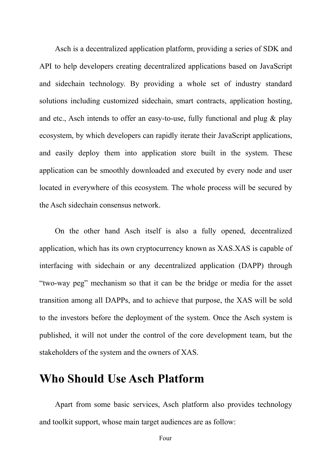Asch is a decentralized application platform, providing a series of SDK and API to help developers creating decentralized applications based on JavaScript and sidechain technology. By providing a whole set of industry standard solutions including customized sidechain, smart contracts, application hosting, and etc., Asch intends to offer an easy-to-use, fully functional and plug & play ecosystem, by which developers can rapidly iterate their JavaScript applications, and easily deploy them into application store built in the system. These application can be smoothly downloaded and executed by every node and user located in everywhere of this ecosystem. The whole process will be secured by the Asch sidechain consensus network.

On the other hand Asch itself is also a fully opened, decentralized application, which has its own cryptocurrency known as XAS.XAS is capable of interfacing with sidechain or any decentralized application (DAPP) through "two-way peg" mechanism so that it can be the bridge or media for the asset transition among all DAPPs, and to achieve that purpose, the XAS will be sold to the investors before the deployment of the system. Once the Asch system is published, it will not under the control of the core development team, but the stakeholders of the system and the owners of XAS.

# **Who Should Use Asch Platform**

Apart from some basic services, Asch platform also provides technology and toolkit support, whose main target audiences are as follow: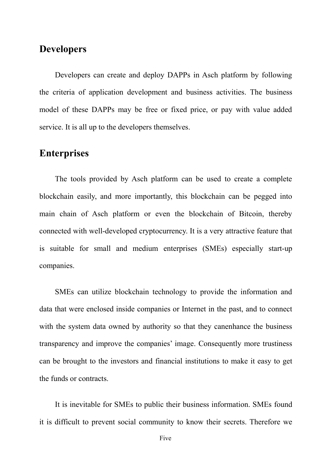#### **Developers**

Developers can create and deploy DAPPs in Asch platform by following the criteria of application development and business activities. The business model of these DAPPs may be free or fixed price, or pay with value added service. It is all up to the developers themselves.

#### **Enterprises**

The tools provided by Asch platform can be used to create a complete blockchain easily, and more importantly, this blockchain can be pegged into main chain of Asch platform or even the blockchain of Bitcoin, thereby connected with well-developed cryptocurrency. It is a very attractive feature that is suitable for small and medium enterprises (SMEs) especially start-up companies.

SMEs can utilize blockchain technology to provide the information and data that were enclosed inside companies or Internet in the past, and to connect with the system data owned by authority so that they canenhance the business transparency and improve the companies' image. Consequently more trustiness can be brought to the investors and financial institutions to make it easy to get the funds or contracts.

It is inevitable for SMEs to public their business information. SMEs found it is difficult to prevent social community to know their secrets. Therefore we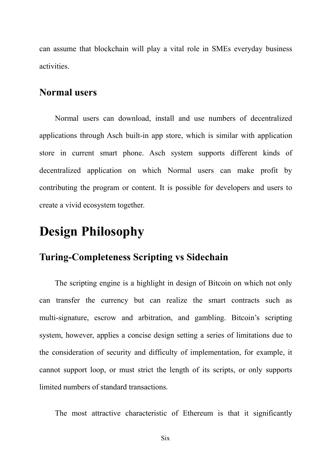can assume that blockchain will play a vital role in SMEs everyday business activities.

#### **Normal users**

Normal users can download, install and use numbers of decentralized applications through Asch built-in app store, which is similar with application store in current smart phone. Asch system supports different kinds of decentralized application on which Normal users can make profit by contributing the program or content. It is possible for developers and users to create a vivid ecosystem together.

# **Design Philosophy**

### **Turing-Completeness Scripting vs Sidechain**

The scripting engine is a highlight in design of Bitcoin on which not only can transfer the currency but can realize the smart contracts such as multi-signature, escrow and arbitration, and gambling. Bitcoin's scripting system, however, applies a concise design setting a series of limitations due to the consideration of security and difficulty of implementation, for example, it cannot support loop, or must strict the length of its scripts, or only supports limited numbers of standard transactions.

The most attractive characteristic of Ethereum is that it significantly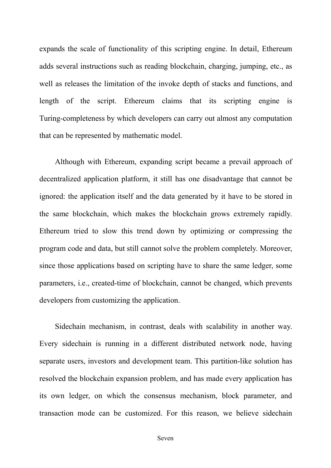expands the scale of functionality of this scripting engine. In detail, Ethereum adds several instructions such as reading blockchain, charging, jumping, etc., as well as releases the limitation of the invoke depth of stacks and functions, and length of the script. Ethereum claims that its scripting engine is Turing-completeness by which developers can carry out almost any computation that can be represented by mathematic model.

Although with Ethereum, expanding script became a prevail approach of decentralized application platform, it still has one disadvantage that cannot be ignored: the application itself and the data generated by it have to be stored in the same blockchain, which makes the blockchain grows extremely rapidly. Ethereum tried to slow this trend down by optimizing or compressing the program code and data, but still cannot solve the problem completely. Moreover, since those applications based on scripting have to share the same ledger, some parameters, i.e., created-time of blockchain, cannot be changed, which prevents developers from customizing the application.

Sidechain mechanism, in contrast, deals with scalability in another way. Every sidechain is running in a different distributed network node, having separate users, investors and development team. This partition-like solution has resolved the blockchain expansion problem, and has made every application has its own ledger, on which the consensus mechanism, block parameter, and transaction mode can be customized. For this reason, we believe sidechain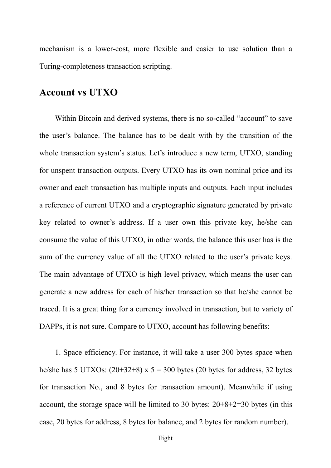mechanism is a lower-cost, more flexible and easier to use solution than a Turing-completeness transaction scripting.

#### **Account vs UTXO**

Within Bitcoin and derived systems, there is no so-called "account" to save the user's balance. The balance has to be dealt with by the transition of the whole transaction system's status. Let's introduce a new term, UTXO, standing for unspent transaction outputs. Every UTXO has its own nominal price and its owner and each transaction has multiple inputs and outputs. Each input includes a reference of current UTXO and a cryptographic signature generated by private key related to owner's address. If a user own this private key, he/she can consume the value of this UTXO, in other words, the balance this user has is the sum of the currency value of all the UTXO related to the user's private keys. The main advantage of UTXO is high level privacy, which means the user can generate a new address for each of his/her transaction so that he/she cannot be traced. It is a great thing for a currency involved in transaction, but to variety of DAPPs, it is not sure. Compare to UTXO, account has following benefits:

1. Space efficiency. For instance, it will take a user 300 bytes space when he/she has 5 UTXOs:  $(20+32+8)$  x 5 = 300 bytes (20 bytes for address, 32 bytes for transaction No., and 8 bytes for transaction amount). Meanwhile if using account, the storage space will be limited to 30 bytes:  $20+8+2=30$  bytes (in this case, 20 bytes for address, 8 bytes for balance, and 2 bytes for random number).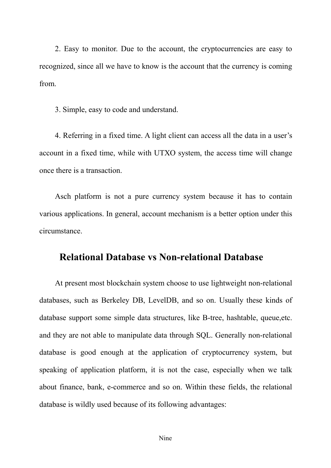2. Easy to monitor. Due to the account, the cryptocurrencies are easy to recognized, since all we have to know is the account that the currency is coming from.<br>3. Simple, easy to code and understand.

4. Referring in a fixed time. A light client can access all the data in a user's account in a fixed time, while with UTXO system, the access time will change once there is a transaction.

Asch platform is not a pure currency system because it has to contain various applications. In general, account mechanism is a better option under this circumstance.

#### **Relational Database vs Non-relational Database**

At present most blockchain system choose to use lightweight non-relational databases, such as Berkeley DB, LevelDB, and so on. Usually these kinds of database support some simple data structures, like B-tree, hashtable, queue,etc. and they are not able to manipulate data through SQL. Generally non-relational database is good enough at the application of cryptocurrency system, but speaking of application platform, it is not the case, especially when we talk about finance, bank, e-commerce and so on. Within these fields, the relational database is wildly used because of its following advantages: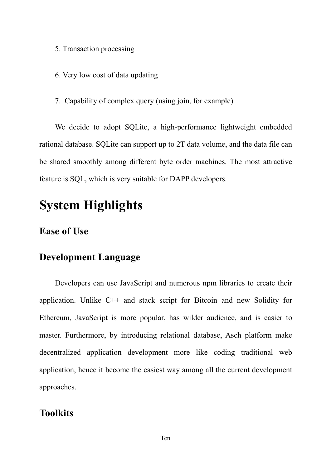- 5. Transaction processing
- 6. Very low cost of data updating
- 7. Capability of complex query (using join, for example)

We decide to adopt SQLite, a high-performance lightweight embedded rational database. SQLite can support up to 2T data volume, and the data file can be shared smoothly among different byte order machines. The most attractive feature is SQL, which is very suitable for DAPP developers.

# **System Highlights**

### **Ease of Use**

### **Development Language**

Developers can use JavaScript and numerous npm libraries to create their application. Unlike C++ and stack script for Bitcoin and new Solidity for Ethereum, JavaScript is more popular, has wilder audience, and is easier to master. Furthermore, by introducing relational database, Asch platform make decentralized application development more like coding traditional web application, hence it become the easiest way among all the current development approaches.

## **Toolkits**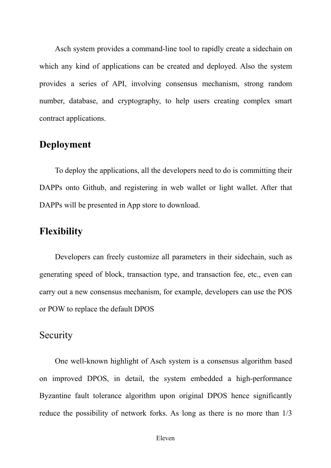Asch system provides a command-line tool to rapidly create a sidechain on which any kind of applications can be created and deployed. Also the system provides a series of API, involving consensus mechanism, strong random number, database, and cryptography, to help users creating complex smart contract applications.

#### **Deployment**

To deploy the applications, all the developers need to do is committing their DAPPs onto Github, and registering in web wallet or light wallet. After that DAPPs will be presented in App store to download.

### **Flexibility**

Developers can freely customize all parameters in their sidechain, such as generating speed of block, transaction type, and transaction fee, etc., even can carry out a new consensus mechanism, for example, developers can use the POS or POW to replace the default DPOS

#### **Security**

One well-known highlight of Asch system is a consensus algorithm based on improved DPOS, in detail, the system embedded a high-performance Byzantine fault tolerance algorithm upon original DPOS hence significantly reduce the possibility of network forks. As long as there is no more than  $1/3$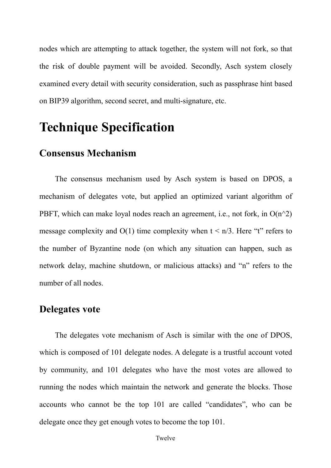nodes which are attempting to attack together, the system will not fork, so that the risk of double payment will be avoided. Secondly, Asch system closely examined every detail with security consideration, such as passphrase hint based on BIP39 algorithm, second secret, and multi-signature, etc.

# **Technique Specification**

# **Consensus Mechanism**

The consensus mechanism used by Asch system is based on DPOS, a mechanism of delegates vote, but applied an optimized variant algorithm of PBFT, which can make loyal nodes reach an agreement, i.e., not fork, in  $O(n^2)$ message complexity and  $O(1)$  time complexity when  $t \le n/3$ . Here "t" refers to the number of Byzantine node (on which any situation can happen, such as network delay, machine shutdown, or malicious attacks) and "n" refers to the number of all nodes.

#### **Delegates vote**

The delegates vote mechanism of Asch is similar with the one of DPOS, which is composed of 101 delegate nodes. A delegate is a trustful account voted by community, and 101 delegates who have the most votes are allowed to running the nodes which maintain the network and generate the blocks. Those accounts who cannot be the top 101 are called "candidates", who can be delegate once they get enough votes to become the top 101.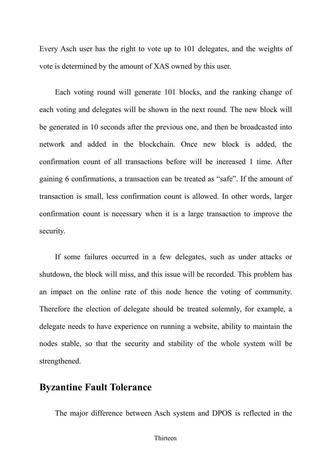Every Asch user has the right to vote up to 101 delegates, and the weights of vote is determined by the amount of XAS owned by this user.

Each voting round will generate 101 blocks, and the ranking change of each voting and delegates will be shown in the next round. The new block will be generated in 10 seconds after the previous one, and then be broadcasted into network and added in the blockchain. Once new block is added, the confirmation count of all transactions before will be increased 1 time. After gaining 6 confirmations, a transaction can be treated as "safe". If the amount of transaction is small, less confirmation count is allowed. In other words, larger confirmation count is necessary when it is a large transaction to improve the security.

If some failures occurred in a few delegates, such as under attacks or shutdown, the block will miss, and this issue will be recorded. This problem has an impact on the online rate of this node hence the voting of community. Therefore the election of delegate should be treated solemnly, for example, a delegate needs to have experience on running a website, ability to maintain the nodes stable, so that the security and stability of the whole system will be strengthened.

#### **Byzantine Fault Tolerance**

The major difference between Asch system and DPOS is reflected in the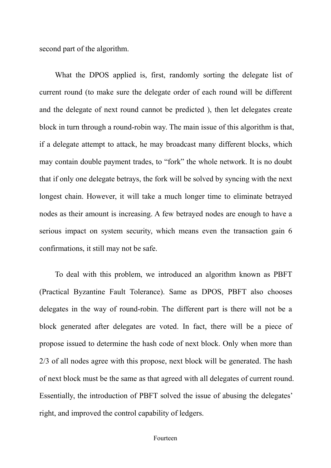second part of the algorithm.

What the DPOS applied is, first, randomly sorting the delegate list of current round (to make sure the delegate order of each round will be different and the delegate of next round cannot be predicted ), then let delegates create block in turn through a round-robin way. The main issue of this algorithm is that, if a delegate attempt to attack, he may broadcast many different blocks, which may contain double payment trades, to "fork" the whole network. It is no doubt that if only one delegate betrays, the fork will be solved by syncing with the next longest chain. However, it will take a much longer time to eliminate betrayed nodes as their amount is increasing. A few betrayed nodes are enough to have a serious impact on system security, which means even the transaction gain 6 confirmations, it still may not be safe.

To deal with this problem, we introduced an algorithm known as PBFT (Practical Byzantine Fault Tolerance). Same as DPOS, PBFT also chooses delegates in the way of round-robin. The different part is there will not be a block generated after delegates are voted. In fact, there will be a piece of propose issued to determine the hash code of next block. Only when more than 2/3 of all nodes agree with this propose, next block will be generated. The hash of next block must be the same as that agreed with all delegates of current round. Essentially, the introduction of PBFT solved the issue of abusing the delegates' right, and improved the control capability of ledgers.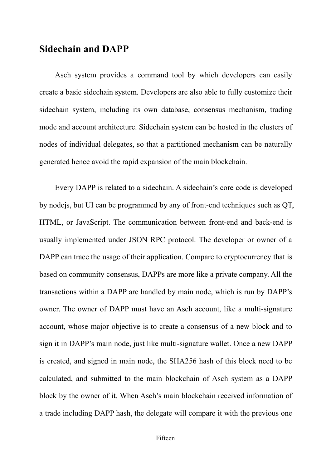#### **Sidechain and DAPP**

Asch system provides a command tool by which developers can easily create a basic sidechain system. Developers are also able to fully customize their sidechain system, including its own database, consensus mechanism, trading mode and account architecture. Sidechain system can be hosted in the clusters of nodes of individual delegates, so that a partitioned mechanism can be naturally generated hence avoid the rapid expansion of the main blockchain.

Every DAPP is related to a sidechain. A sidechain's core code is developed by nodejs, but UI can be programmed by any of front-end techniques such as QT, HTML, or JavaScript. The communication between front-end and back-end is usually implemented under JSON RPC protocol. The developer or owner of a DAPP can trace the usage of their application. Compare to cryptocurrency that is based on community consensus, DAPPs are more like a private company. All the transactions within a DAPP are handled by main node, which is run by DAPP's owner. The owner of DAPP must have an Asch account, like a multi-signature account, whose major objective is to create a consensus of a new block and to sign it in DAPP's main node, just like multi-signature wallet. Once a new DAPP is created, and signed in main node, the SHA256 hash of this block need to be calculated, and submitted to the main blockchain of Asch system as a DAPP block by the owner of it. When Asch's main blockchain received information of a trade including DAPP hash, the delegate will compare it with the previous one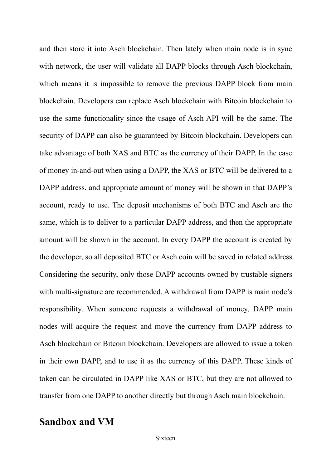and then store it into Asch blockchain. Then lately when main node is in sync with network, the user will validate all DAPP blocks through Asch blockchain, which means it is impossible to remove the previous DAPP block from main blockchain. Developers can replace Asch blockchain with Bitcoin blockchain to use the same functionality since the usage of Asch API will be the same. The security of DAPP can also be guaranteed by Bitcoin blockchain. Developers can take advantage of both XAS and BTC as the currency of their DAPP. In the case of money in-and-out when using a DAPP, the XAS or BTC will be delivered to a DAPP address, and appropriate amount of money will be shown in that DAPP's account, ready to use. The deposit mechanisms of both BTC and Asch are the same, which is to deliver to a particular DAPP address, and then the appropriate amount will be shown in the account. In every DAPP the account is created by the developer, so all deposited BTC or Asch coin will be saved in related address. Considering the security, only those DAPP accounts owned by trustable signers with multi-signature are recommended. A withdrawal from DAPP is main node's responsibility. When someone requests a withdrawal of money, DAPP main nodes will acquire the request and move the currency from DAPP address to Asch blockchain or Bitcoin blockchain. Developers are allowed to issue a token in their own DAPP, and to use it as the currency of this DAPP. These kinds of token can be circulated in DAPP like XAS or BTC, but they are not allowed to transfer from one DAPP to another directly but through Asch main blockchain.

# **Sandbox and VM**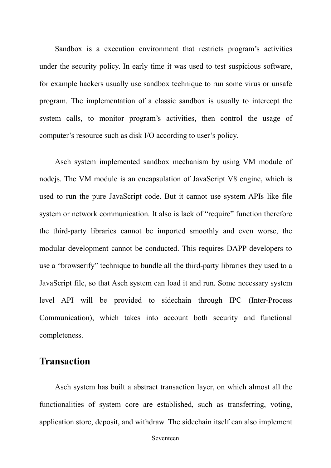Sandbox is a execution environment that restricts program's activities under the security policy. In early time it was used to test suspicious software, for example hackers usually use sandbox technique to run some virus or unsafe program. The implementation of a classic sandbox is usually to intercept the system calls, to monitor program's activities, then control the usage of computer's resource such as disk I/O according to user's policy.

Asch system implemented sandbox mechanism by using VM module of nodejs. The VM module is an encapsulation of JavaScript V8 engine, which is used to run the pure JavaScript code. But it cannot use system APIs like file system or network communication. It also is lack of "require" function therefore the third-party libraries cannot be imported smoothly and even worse, the modular development cannot be conducted. This requires DAPP developers to use a "browserify" technique to bundle all the third-party libraries they used to a JavaScript file, so that Asch system can load it and run. Some necessary system level API will be provided to sidechain through IPC (Inter-Process Communication), which takes into account both security and functional completeness.

### **Transaction**

Asch system has built a abstract transaction layer, on which almost all the functionalities of system core are established, such as transferring, voting, application store, deposit, and withdraw. The sidechain itself can also implement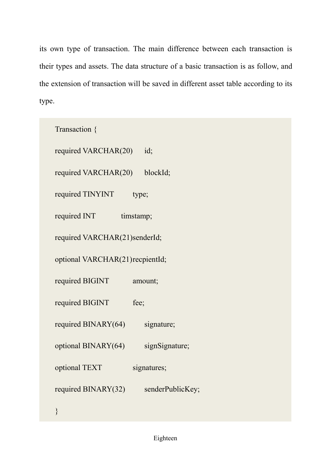its own type of transaction. The main difference between each transaction is their types and assets. The data structure of a basic transaction is as follow, and the extension of transaction will be saved in different asset table according to its

| type. |                                            |
|-------|--------------------------------------------|
|       | Transaction {                              |
|       | required VARCHAR(20)<br>id;                |
|       | required VARCHAR(20)<br>blockId;           |
|       | required TINYINT<br>type;                  |
|       | required INT<br>timstamp;                  |
|       | required VARCHAR(21)senderId;              |
|       | optional VARCHAR(21) recpientId;           |
|       | required BIGINT<br>amount;                 |
|       | required BIGINT<br>fee;                    |
|       | required BINARY(64)<br>signature;          |
|       | optional BINARY(64)<br>signSignature;      |
|       | optional TEXT<br>signatures;               |
|       | required BINARY $(32)$<br>senderPublicKey; |
|       |                                            |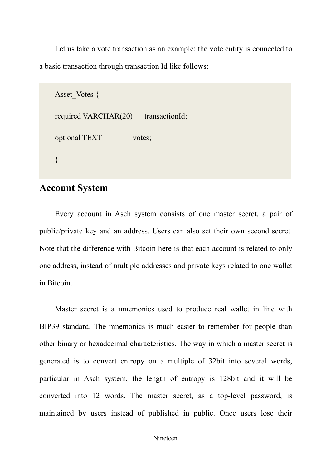Let us take a vote transaction as an example: the vote entity is connected to a basic transaction through transaction Id like follows:

```
Asset Votes {
required VARCHAR(20) transactionId;
optional TEXT votes;
}
```
#### **Account System**

Every account in Asch system consists of one master secret, a pair of public/private key and an address. Users can also set their own second secret. Note that the difference with Bitcoin here is that each account is related to only one address, instead of multiple addresses and private keys related to one wallet in Bitcoin.

Master secret is a mnemonics used to produce real wallet in line with BIP39 standard. The mnemonics is much easier to remember for people than other binary or hexadecimal characteristics. The way in which a master secret is generated is to convert entropy on a multiple of 32bit into several words, particular in Asch system, the length of entropy is 128bit and it will be converted into 12 words. The master secret, as a top-level password, is maintained by users instead of published in public. Once users lose their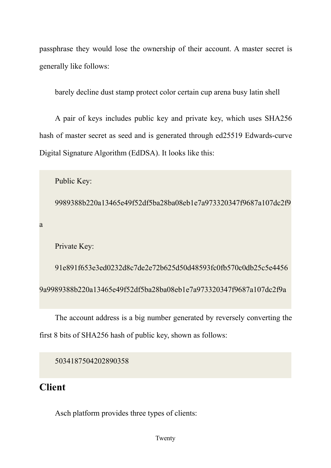passphrase they would lose the ownership of their account. A master secret is generally like follows:

barely decline dust stamp protect color certain cup arena busy latin shell

A pair of keys includes public key and private key, which uses SHA256 hash of master secret as seed and is generated through ed25519 Edwards-curve Digital Signature Algorithm (EdDSA). It looks like this:

```
Public Key:
```
9989388b220a13465e49f52df5ba28ba08eb1e7a973320347f9687a107dc2f9

a a shekarar 1999 a shekarar 1999 a shekarar 1999 a shekarar 1999 a shekarar 1999 a shekarar 1999 a shekarar 1

Private Key:

91e891f653e3ed0232d8c7de2e72b625d50d48593fc0fb570c0db25c5e4456 9a9989388b220a13465e49f52df5ba28ba08eb1e7a973320347f9687a107dc2f9a

The account address is a big number generated by reversely converting the first 8 bits of SHA256 hash of public key, shown as follows:

```
5034187504202890358
```
# **Client**

Asch platform provides three types of clients: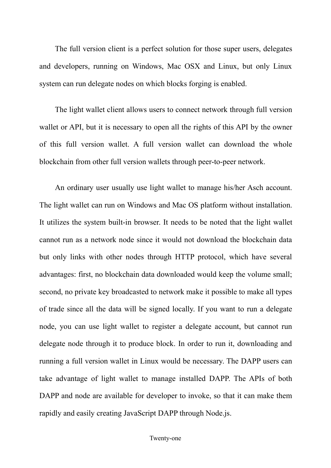The full version client is a perfect solution for those super users, delegates and developers, running on Windows, Mac OSX and Linux, but only Linux system can run delegate nodes on which blocks forging is enabled.

The light wallet client allows users to connect network through full version wallet or API, but it is necessary to open all the rights of this API by the owner of this full version wallet. A full version wallet can download the whole blockchain from other full version wallets through peer-to-peer network.

An ordinary user usually use light wallet to manage his/her Asch account. The light wallet can run on Windows and Mac OS platform without installation. It utilizes the system built-in browser. It needs to be noted that the light wallet cannot run as a network node since it would not download the blockchain data but only links with other nodes through HTTP protocol, which have several advantages: first, no blockchain data downloaded would keep the volume small; second, no private key broadcasted to network make it possible to make all types of trade since all the data will be signed locally. If you want to run a delegate node, you can use light wallet to register a delegate account, but cannot run delegate node through it to produce block. In order to run it, downloading and running a full version wallet in Linux would be necessary. The DAPP users can take advantage of light wallet to manage installed DAPP. The APIs of both DAPP and node are available for developer to invoke, so that it can make them rapidly and easily creating JavaScript DAPP through Node.js.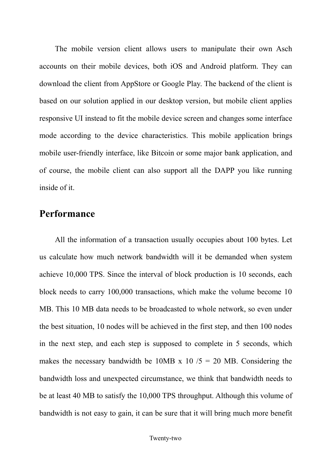The mobile version client allows users to manipulate their own Asch accounts on their mobile devices, both iOS and Android platform. They can download the client from AppStore or Google Play. The backend of the client is based on our solution applied in our desktop version, but mobile client applies responsive UI instead to fit the mobile device screen and changes some interface mode according to the device characteristics. This mobile application brings mobile user-friendly interface, like Bitcoin or some major bank application, and of course, the mobile client can also support all the DAPP you like running inside of it.

### **Performance**

All the information of a transaction usually occupies about 100 bytes. Let us calculate how much network bandwidth will it be demanded when system achieve 10,000 TPS. Since the interval of block production is 10 seconds, each block needs to carry 100,000 transactions, which make the volume become 10 MB. This 10 MB data needs to be broadcasted to whole network, so even under the best situation, 10 nodes will be achieved in the first step, and then 100 nodes in the next step, and each step is supposed to complete in 5 seconds, which makes the necessary bandwidth be 10MB x 10  $/5 = 20$  MB. Considering the bandwidth loss and unexpected circumstance, we think that bandwidth needs to be at least 40 MB to satisfy the 10,000 TPS throughput. Although this volume of bandwidth is not easy to gain, it can be sure that it will bring much more benefit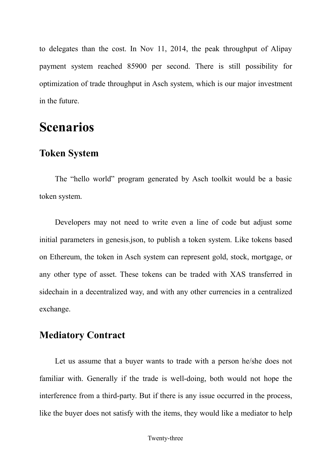to delegates than the cost. In Nov 11, 2014, the peak throughput of Alipay payment system reached 85900 per second. There is still possibility for optimization of trade throughput in Asch system, which is our major investment in the future.

# **Scenarios**

# **Token System**

The "hello world" program generated by Asch toolkit would be a basic token system.

Developers may not need to write even a line of code but adjust some initial parameters in genesis.json, to publish a token system. Like tokens based on Ethereum, the token in Asch system can represent gold, stock, mortgage, or any other type of asset. These tokens can be traded with XAS transferred in sidechain in a decentralized way, and with any other currencies in a centralized exchange.

# **Mediatory Contract**

Let us assume that a buyer wants to trade with a person he/she does not familiar with. Generally if the trade is well-doing, both would not hope the interference from a third-party. But if there is any issue occurred in the process, like the buyer does not satisfy with the items, they would like a mediator to help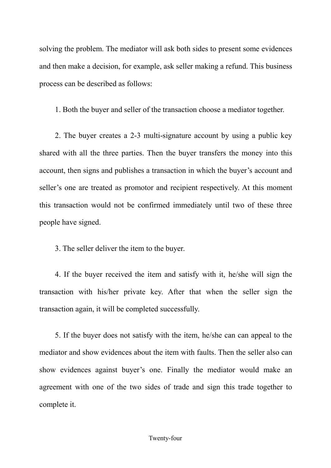solving the problem. The mediator will ask both sides to present some evidences and then make a decision, for example, ask seller making a refund. This business process can be described as follows:

1. Both the buyer and seller of the transaction choose a mediator together.

2. The buyer creates a 2-3 multi-signature account by using a public key shared with all the three parties. Then the buyer transfers the money into this account, then signs and publishes a transaction in which the buyer's account and seller's one are treated as promotor and recipient respectively. At this moment this transaction would not be confirmed immediately until two of these three people have signed.

3. The seller deliver the item to the buyer.

4. If the buyer received the item and satisfy with it, he/she will sign the transaction with his/her private key. After that when the seller sign the transaction again, it will be completed successfully.

5. If the buyer does not satisfy with the item, he/she can can appeal to the mediator and show evidences about the item with faults. Then the seller also can show evidences against buyer's one. Finally the mediator would make an agreement with one of the two sides of trade and sign this trade together to complete it.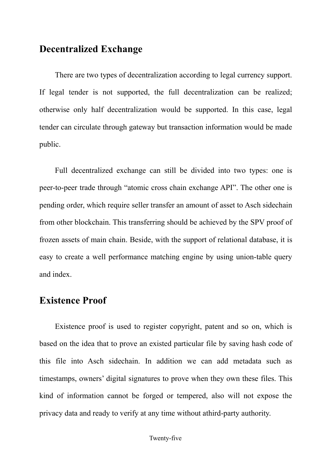#### **Decentralized Exchange**

There are two types of decentralization according to legal currency support. If legal tender is not supported, the full decentralization can be realized; otherwise only half decentralization would be supported. In this case, legal tender can circulate through gateway but transaction information would be made public.

Full decentralized exchange can still be divided into two types: one is peer-to-peer trade through "atomic cross chain exchange API". The other one is pending order, which require seller transfer an amount of asset to Asch sidechain from other blockchain. This transferring should be achieved by the SPV proof of frozen assets of main chain. Beside, with the support of relational database, it is easy to create a well performance matching engine by using union-table query and index.

### **Existence Proof**

Existence proof is used to register copyright, patent and so on, which is based on the idea that to prove an existed particular file by saving hash code of this file into Asch sidechain. In addition we can add metadata such as timestamps, owners' digital signatures to prove when they own these files. This kind of information cannot be forged or tempered, also will not expose the privacy data and ready to verify at any time without athird-party authority.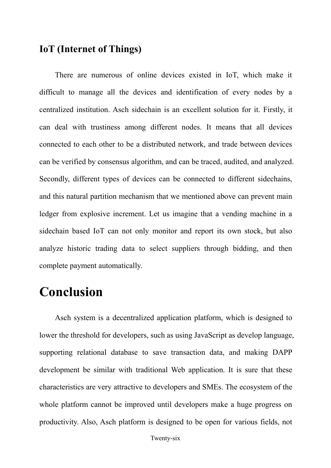#### **IoT (Internet of Things)**

There are numerous of online devices existed in IoT, which make it difficult to manage all the devices and identification of every nodes by a centralized institution. Asch sidechain is an excellent solution for it. Firstly, it can deal with trustiness among different nodes. It means that all devices connected to each other to be a distributed network, and trade between devices can be verified by consensus algorithm, and can be traced, audited, and analyzed. Secondly, different types of devices can be connected to different sidechains, and this natural partition mechanism that we mentioned above can prevent main ledger from explosive increment. Let us imagine that a vending machine in a sidechain based IoT can not only monitor and report its own stock, but also analyze historic trading data to select suppliers through bidding, and then complete payment automatically.

# **Conclusion**

Asch system is a decentralized application platform, which is designed to lower the threshold for developers, such as using JavaScript as develop language, supporting relational database to save transaction data, and making DAPP development be similar with traditional Web application. It is sure that these characteristics are very attractive to developers and SMEs. The ecosystem of the whole platform cannot be improved until developers make a huge progress on productivity. Also, Asch platform is designed to be open for various fields, not